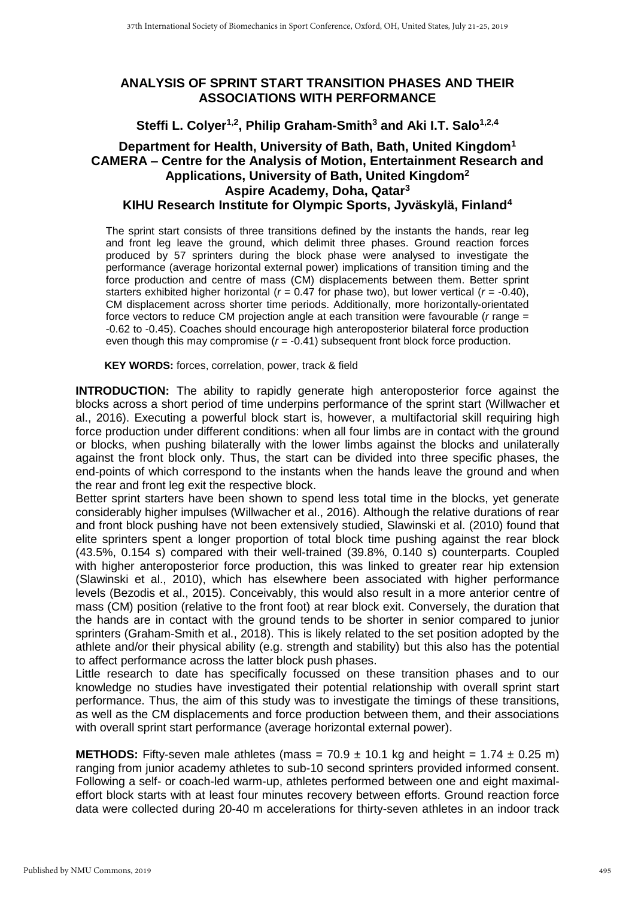## **ANALYSIS OF SPRINT START TRANSITION PHASES AND THEIR ASSOCIATIONS WITH PERFORMANCE**

**Steffi L. Colyer1,2 , Philip Graham-Smith<sup>3</sup> and Aki I.T. Salo1,2,4**

## **Department for Health, University of Bath, Bath, United Kingdom<sup>1</sup> CAMERA – Centre for the Analysis of Motion, Entertainment Research and Applications, University of Bath, United Kingdom<sup>2</sup> Aspire Academy, Doha, Qatar<sup>3</sup> KIHU Research Institute for Olympic Sports, Jyväskylä, Finland<sup>4</sup>**

The sprint start consists of three transitions defined by the instants the hands, rear leg and front leg leave the ground, which delimit three phases. Ground reaction forces produced by 57 sprinters during the block phase were analysed to investigate the performance (average horizontal external power) implications of transition timing and the force production and centre of mass (CM) displacements between them. Better sprint starters exhibited higher horizontal (*r* = 0.47 for phase two), but lower vertical (*r* = -0.40), CM displacement across shorter time periods. Additionally, more horizontally-orientated force vectors to reduce CM projection angle at each transition were favourable (*r* range = -0.62 to -0.45). Coaches should encourage high anteroposterior bilateral force production even though this may compromise  $(r = -0.41)$  subsequent front block force production.

**KEY WORDS:** forces, correlation, power, track & field

**INTRODUCTION:** The ability to rapidly generate high anteroposterior force against the blocks across a short period of time underpins performance of the sprint start [\(Willwacher et](#page-3-0)  [al., 2016\)](#page-3-0). Executing a powerful block start is, however, a multifactorial skill requiring high force production under different conditions: when all four limbs are in contact with the ground or blocks, when pushing bilaterally with the lower limbs against the blocks and unilaterally against the front block only. Thus, the start can be divided into three specific phases, the end-points of which correspond to the instants when the hands leave the ground and when the rear and front leg exit the respective block.

Better sprint starters have been shown to spend less total time in the blocks, yet generate considerably higher impulses [\(Willwacher et al., 2016\)](#page-3-0). Although the relative durations of rear and front block pushing have not been extensively studied, [Slawinski et al. \(2010\)](#page-3-1) found that elite sprinters spent a longer proportion of total block time pushing against the rear block (43.5%, 0.154 s) compared with their well-trained (39.8%, 0.140 s) counterparts. Coupled with higher anteroposterior force production, this was linked to greater rear hip extension [\(Slawinski et al., 2010\)](#page-3-1), which has elsewhere been associated with higher performance levels [\(Bezodis et al., 2015\)](#page-3-2). Conceivably, this would also result in a more anterior centre of mass (CM) position (relative to the front foot) at rear block exit. Conversely, the duration that the hands are in contact with the ground tends to be shorter in senior compared to junior sprinters [\(Graham-Smith et al., 2018\)](#page-3-3). This is likely related to the set position adopted by the athlete and/or their physical ability (e.g. strength and stability) but this also has the potential to affect performance across the latter block push phases.

Little research to date has specifically focussed on these transition phases and to our knowledge no studies have investigated their potential relationship with overall sprint start performance. Thus, the aim of this study was to investigate the timings of these transitions, as well as the CM displacements and force production between them, and their associations with overall sprint start performance (average horizontal external power).

**METHODS:** Fifty-seven male athletes (mass =  $70.9 \pm 10.1$  kg and height =  $1.74 \pm 0.25$  m) ranging from junior academy athletes to sub-10 second sprinters provided informed consent. Following a self- or coach-led warm-up, athletes performed between one and eight maximaleffort block starts with at least four minutes recovery between efforts. Ground reaction force data were collected during 20-40 m accelerations for thirty-seven athletes in an indoor track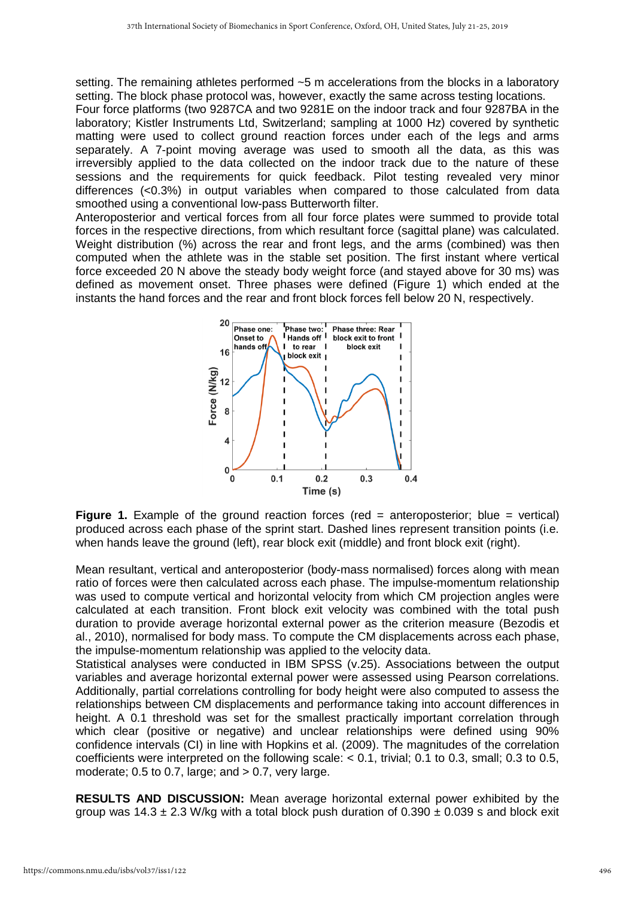setting. The remaining athletes performed ~5 m accelerations from the blocks in a laboratory setting. The block phase protocol was, however, exactly the same across testing locations.

Four force platforms (two 9287CA and two 9281E on the indoor track and four 9287BA in the laboratory; Kistler Instruments Ltd, Switzerland; sampling at 1000 Hz) covered by synthetic matting were used to collect ground reaction forces under each of the legs and arms separately. A 7-point moving average was used to smooth all the data, as this was irreversibly applied to the data collected on the indoor track due to the nature of these sessions and the requirements for quick feedback. Pilot testing revealed very minor differences (<0.3%) in output variables when compared to those calculated from data smoothed using a conventional low-pass Butterworth filter.

Anteroposterior and vertical forces from all four force plates were summed to provide total forces in the respective directions, from which resultant force (sagittal plane) was calculated. Weight distribution (%) across the rear and front legs, and the arms (combined) was then computed when the athlete was in the stable set position. The first instant where vertical force exceeded 20 N above the steady body weight force (and stayed above for 30 ms) was defined as movement onset. Three phases were defined (Figure 1) which ended at the instants the hand forces and the rear and front block forces fell below 20 N, respectively.



**Figure 1.** Example of the ground reaction forces (red = anteroposterior; blue = vertical) produced across each phase of the sprint start. Dashed lines represent transition points (i.e. when hands leave the ground (left), rear block exit (middle) and front block exit (right).

Mean resultant, vertical and anteroposterior (body-mass normalised) forces along with mean ratio of forces were then calculated across each phase. The impulse-momentum relationship was used to compute vertical and horizontal velocity from which CM projection angles were calculated at each transition. Front block exit velocity was combined with the total push duration to provide average horizontal external power as the criterion measure [\(Bezodis et](#page-3-4)  [al., 2010\)](#page-3-4), normalised for body mass. To compute the CM displacements across each phase, the impulse-momentum relationship was applied to the velocity data.

Statistical analyses were conducted in IBM SPSS (v.25). Associations between the output variables and average horizontal external power were assessed using Pearson correlations. Additionally, partial correlations controlling for body height were also computed to assess the relationships between CM displacements and performance taking into account differences in height. A 0.1 threshold was set for the smallest practically important correlation through which clear (positive or negative) and unclear relationships were defined using 90% confidence intervals (CI) in line with [Hopkins et al. \(2009\).](#page-3-5) The magnitudes of the correlation coefficients were interpreted on the following scale: < 0.1, trivial; 0.1 to 0.3, small; 0.3 to 0.5, moderate;  $0.5$  to  $0.7$ , large; and  $> 0.7$ , very large.

**RESULTS AND DISCUSSION:** Mean average horizontal external power exhibited by the group was 14.3  $\pm$  2.3 W/kg with a total block push duration of 0.390  $\pm$  0.039 s and block exit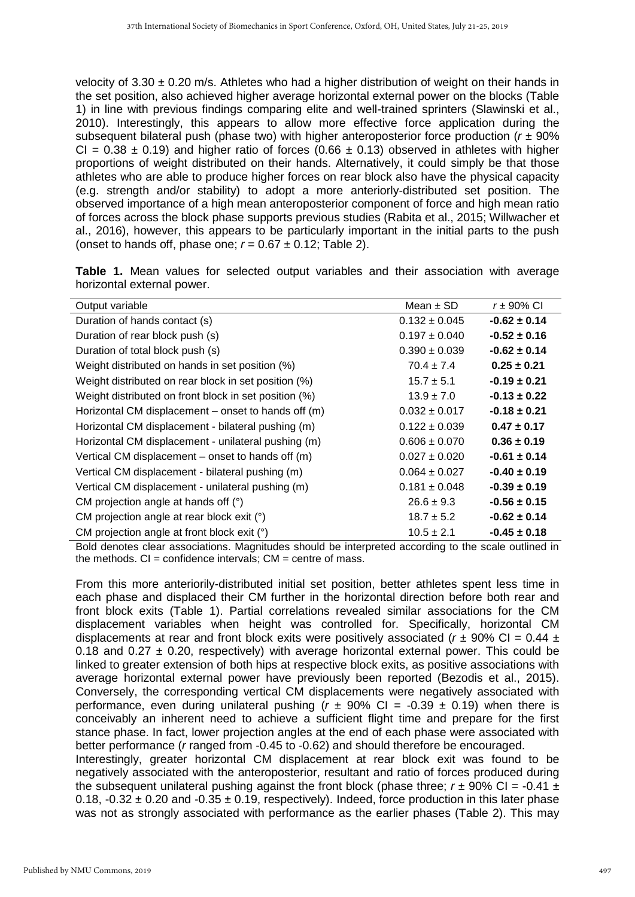velocity of  $3.30 \pm 0.20$  m/s. Athletes who had a higher distribution of weight on their hands in the set position, also achieved higher average horizontal external power on the blocks (Table 1) in line with previous findings comparing elite and well-trained sprinters [\(Slawinski et al.,](#page-3-1)  [2010\)](#page-3-1). Interestingly, this appears to allow more effective force application during the subsequent bilateral push (phase two) with higher anteroposterior force production (*r* ± 90% CI =  $0.38 \pm 0.19$ ) and higher ratio of forces (0.66  $\pm$  0.13) observed in athletes with higher proportions of weight distributed on their hands. Alternatively, it could simply be that those athletes who are able to produce higher forces on rear block also have the physical capacity (e.g. strength and/or stability) to adopt a more anteriorly-distributed set position. The observed importance of a high mean anteroposterior component of force and high mean ratio of forces across the block phase supports previous studies [\(Rabita et al., 2015;](#page-3-6) [Willwacher et](#page-3-0)  [al., 2016\)](#page-3-0), however, this appears to be particularly important in the initial parts to the push (onset to hands off, phase one;  $r = 0.67 \pm 0.12$ ; Table 2).

|                            |  |  |  |  | Table 1. Mean values for selected output variables and their association with average |  |
|----------------------------|--|--|--|--|---------------------------------------------------------------------------------------|--|
| horizontal external power. |  |  |  |  |                                                                                       |  |

| Output variable                                       | Mean $\pm$ SD     | $r = 90\%$ CI    |
|-------------------------------------------------------|-------------------|------------------|
| Duration of hands contact (s)                         | $0.132 \pm 0.045$ | $-0.62 \pm 0.14$ |
| Duration of rear block push (s)                       | $0.197 \pm 0.040$ | $-0.52 \pm 0.16$ |
| Duration of total block push (s)                      | $0.390 \pm 0.039$ | $-0.62 \pm 0.14$ |
| Weight distributed on hands in set position (%)       | $70.4 \pm 7.4$    | $0.25 \pm 0.21$  |
| Weight distributed on rear block in set position (%)  | $15.7 \pm 5.1$    | $-0.19 \pm 0.21$ |
| Weight distributed on front block in set position (%) | $13.9 \pm 7.0$    | $-0.13 \pm 0.22$ |
| Horizontal CM displacement – onset to hands off (m)   | $0.032 \pm 0.017$ | $-0.18 \pm 0.21$ |
| Horizontal CM displacement - bilateral pushing (m)    | $0.122 \pm 0.039$ | $0.47 \pm 0.17$  |
| Horizontal CM displacement - unilateral pushing (m)   | $0.606 \pm 0.070$ | $0.36 \pm 0.19$  |
| Vertical CM displacement – onset to hands off (m)     | $0.027 \pm 0.020$ | $-0.61 \pm 0.14$ |
| Vertical CM displacement - bilateral pushing (m)      | $0.064 \pm 0.027$ | $-0.40 \pm 0.19$ |
| Vertical CM displacement - unilateral pushing (m)     | $0.181 \pm 0.048$ | $-0.39 \pm 0.19$ |
| CM projection angle at hands off (°)                  | $26.6 \pm 9.3$    | $-0.56 \pm 0.15$ |
| CM projection angle at rear block exit (°)            | $18.7 \pm 5.2$    | $-0.62 \pm 0.14$ |
| CM projection angle at front block exit (°)           | $10.5 \pm 2.1$    | $-0.45 \pm 0.18$ |

Bold denotes clear associations. Magnitudes should be interpreted according to the scale outlined in the methods.  $CI = confidence$  intervals;  $CM = centre$  of mass.

From this more anteriorily-distributed initial set position, better athletes spent less time in each phase and displaced their CM further in the horizontal direction before both rear and front block exits (Table 1). Partial correlations revealed similar associations for the CM displacement variables when height was controlled for. Specifically, horizontal CM displacements at rear and front block exits were positively associated ( $r \pm 90\%$  CI = 0.44  $\pm$ 0.18 and 0.27  $\pm$  0.20, respectively) with average horizontal external power. This could be linked to greater extension of both hips at respective block exits, as positive associations with average horizontal external power have previously been reported [\(Bezodis et al., 2015\)](#page-3-2). Conversely, the corresponding vertical CM displacements were negatively associated with performance, even during unilateral pushing  $(r \pm 90\% \text{ Cl} = -0.39 \pm 0.19)$  when there is conceivably an inherent need to achieve a sufficient flight time and prepare for the first stance phase. In fact, lower projection angles at the end of each phase were associated with better performance (*r* ranged from -0.45 to -0.62) and should therefore be encouraged. Interestingly, greater horizontal CM displacement at rear block exit was found to be negatively associated with the anteroposterior, resultant and ratio of forces produced during the subsequent unilateral pushing against the front block (phase three;  $r \pm 90\%$  CI = -0.41  $\pm$ 0.18, -0.32  $\pm$  0.20 and -0.35  $\pm$  0.19, respectively). Indeed, force production in this later phase

was not as strongly associated with performance as the earlier phases (Table 2). This may